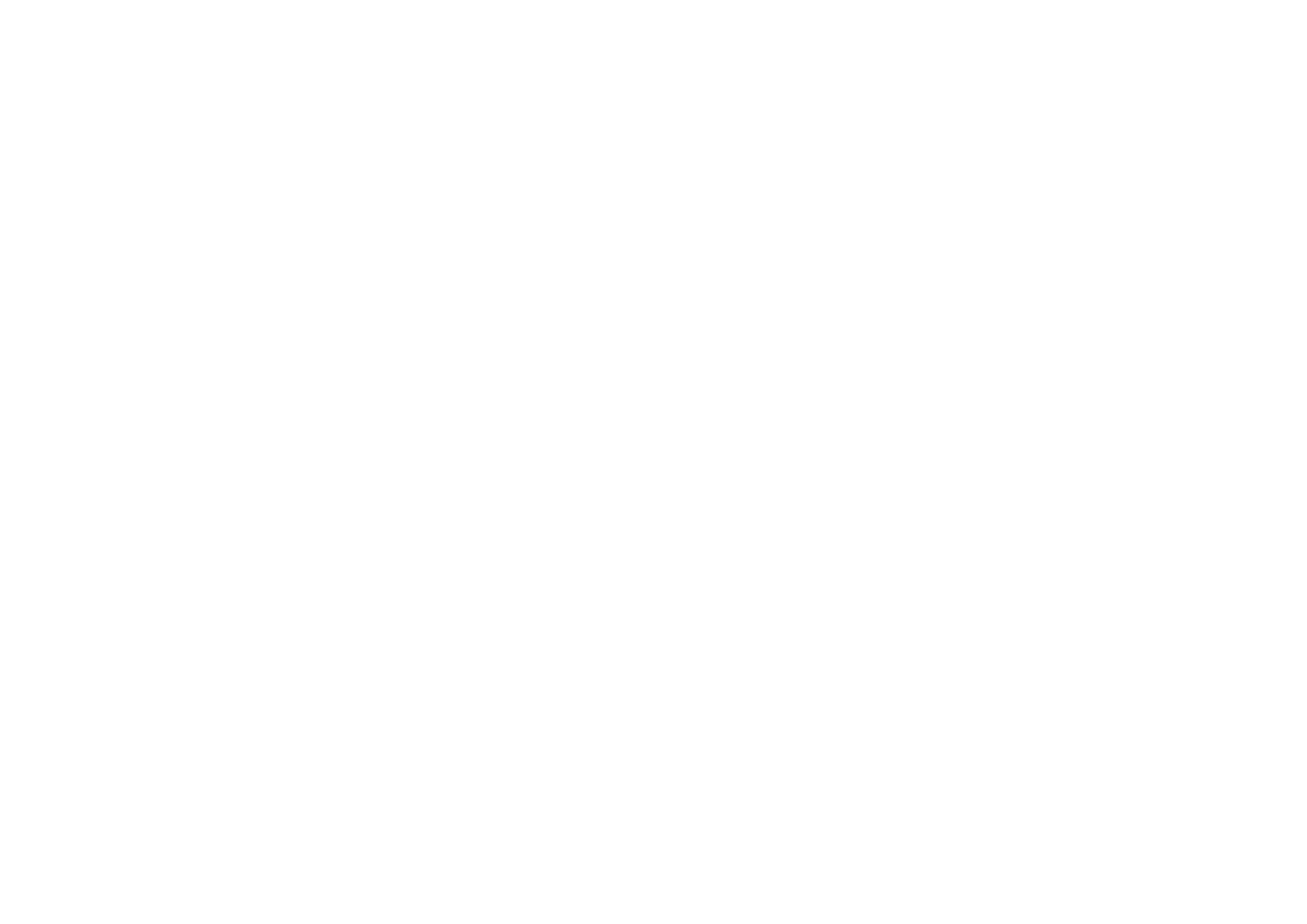## Technical Specifications

### Alarm and Event Management

- .Triple-window video motion detection
- .Tampering detection
- $\cdot$  One D/I and one D/O for external sensor and alarm
- .IR illuminators up to 15 meters
- .Event notification using HTTP, SMTP, or FTP .Local recording of MP4 file

### Local Storage

.SD card slot.Stores snapshots and video clips

# **Security**

 $.12V$  DC .24V AC .Consumption: Max. 7.5 W Max. 10 W (with heater) .802.3af compliant Power over Ethernet

### **Housing**

- .Multi-level user access with password protection .IP address filtering
- .HTTPS encrypted data transmission

## Users

.Camera live viewing for up to 10 clients

## Dimension

 $.170$  mm (D) x 133 mm (H)

## Weight

 $\cdot$  Net: 1700 g

## LED Indicator

.System restore status indicator

## Power

.Metal base and polycarbonate transparent cover .Vandal-proof: 1000 kg .IP66-rated housing for weather-proof

## Approvals

.CE, LVD, FCC, VCCI, C-Tick

### Operating Environments

 $\cdot$  Temperature: -20 ~ 60 °C (-4 ~ 140 °F)  $\cdot$  Humidity: 20 % ~ 95% RH

### Viewing System Requirements

- .OS: Microsoft Windows 2000/XP/Vista
- .Browser: Internet Explorer 6.x or above
- .Cellphone: 3GPP player .Real Player 10.5 or above
- .Quick Time 6.5 or above

### Installation, Management, and Maintenance

- .3-axis mechanism for flexible ceiling and wall mount installation .Drop-ceiling mount installation
- .Installation Wizard 2
- .16-CH recording software
- .Supports firmware upgrade

### Applications

.SDK available for application development and system integration

## **Warranty**

 $\cdot$  24 months

| System                                                                                                                                                                                                                                                                                                                                               |
|------------------------------------------------------------------------------------------------------------------------------------------------------------------------------------------------------------------------------------------------------------------------------------------------------------------------------------------------------|
| ⋅ CPU: Bach SoC<br>· Flash: 8 MB<br>$\cdot$ RAM: 96 MB<br>⋅ Embedded OS: Linux 2.6                                                                                                                                                                                                                                                                   |
| Lens                                                                                                                                                                                                                                                                                                                                                 |
| $\cdot$ Board lens, vari-focal, f = 3.3 $\sim$ 12 mm, F1.4 (wide),<br>F2.9 (tele), auto-iris, focus range: 50 cm to infinity<br>· Removable IR-cut filter for day & night function                                                                                                                                                                   |
| Angle of view                                                                                                                                                                                                                                                                                                                                        |
| $\cdot$ 23° ~ 85.2° (horizontal)<br>$\cdot$ 4.8° ~ 51.6° (vertical)                                                                                                                                                                                                                                                                                  |
| <b>Shutter Time</b>                                                                                                                                                                                                                                                                                                                                  |
| $\cdot$ 1/30 sec. to 1/15000 sec.                                                                                                                                                                                                                                                                                                                    |
| Image Sensor                                                                                                                                                                                                                                                                                                                                         |
| ⋅ 1/3.3" Wide Dynamic Range CMOS sensor                                                                                                                                                                                                                                                                                                              |
| <b>Minimum Illumination</b>                                                                                                                                                                                                                                                                                                                          |
| $0.68$ Lux / F1.4                                                                                                                                                                                                                                                                                                                                    |
| Video                                                                                                                                                                                                                                                                                                                                                |
| · Compression: MJPEG & MPEG-4<br>· Streaming:<br>Simultaneous dual-stream<br>MPEG-4 streaming over UDP, TCP, HTTP or HTTPS<br>MPEG-4 multicast streaming<br>MJPEG streaming over HTTP or HTTPS<br>· Supports 3GPP mobile surveillance<br>· Frame rates:<br>MPEG-4: 720x480 up to 25 fps<br>360x240 up to 30/25 fps<br>MJPEG: 720x480 up to 30/25 fps |
| Image settings                                                                                                                                                                                                                                                                                                                                       |
| · Adjustable image size, quality, and bit rate<br>· Time stamp and text caption overlay<br>$\cdot$ Flip & mirror<br>· Configurable brightness, contrast, saturation, sharpness,<br>white balance, and exposure<br>· AGC, AWB, AEC<br>· Automatic, manual or scheduled day/night mode<br>· Supports privacy masks                                     |
| Audio                                                                                                                                                                                                                                                                                                                                                |
| · Compression:<br>GSM-AMR speech encoding, bit rate: 4.75 kbps to 12.2 kbps<br>MPEG-4 AAC audio encoding, bit rate: 16 kbps to 128 kbps<br>$\cdot$ Interface:<br>External microphone input<br>Audio output<br>· Supports two-way audio by SIP protocol<br>· Supports audio mute                                                                      |
| <b>Networking</b>                                                                                                                                                                                                                                                                                                                                    |
| · 10/100 Mbps Ethernet, RJ-45<br>· Protocols: IPv4, TCP/IP, HTTP, HTTPS, UPnP, RTSP/RTP/RTCP,                                                                                                                                                                                                                                                        |

IGMP, SMTP, FTP, DHCP, NTP, DNS, DDNS, and PPPoE

VIVOTEK FD7141 is a professional-grade vandal- and weather-proof fixed dome network camera integrating all the features required for outdoor surveillance into a discreet, compact package. FD7141's IP66 rating ensures protection from water and dust and its vandal-proof design provides additional protection in high risk environments. With built-in heater and fan, FD7141 can operate in an extended temperature range required in many of today's installations.

Boasting a Wide Dynamic Range CMOS sensor, FD7141 can cope with challenging lighting conditions and provide image quality superior to other products in its class. FD7141 delivers true day and night functionality with a removable IR-cut filter and built-in IR illuminators. The 3-axis rotation design makes the installation of FD7141 suitable for both wall and ceiling mount options.

FD7141 supports tampering detection, which will detect video loss from events such as blocking or spray-painting. FD7141 also incorporates advanced features including simultaneous dual streams, 802.3af compliant PoE, two-way audio by SIP protocol, built-in SD card slot, drop-ceiling mount, and HTTPS encrypted data transmission for a robust outdoor security solution.





### All specifications are subject to change without notice. All other trademarks are owned by their respective companies.



## Outdoor • WDR • Tampering Detection